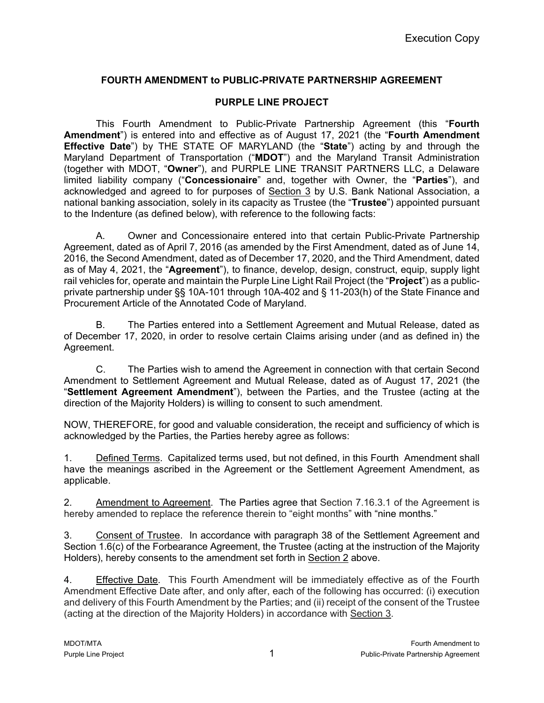## **FOURTH AMENDMENT to PUBLIC-PRIVATE PARTNERSHIP AGREEMENT**

## **PURPLE LINE PROJECT**

This Fourth Amendment to Public-Private Partnership Agreement (this "**Fourth Amendment**") is entered into and effective as of August 17, 2021 (the "**Fourth Amendment Effective Date**") by THE STATE OF MARYLAND (the "**State**") acting by and through the Maryland Department of Transportation ("**MDOT**") and the Maryland Transit Administration (together with MDOT, "**Owner**"), and PURPLE LINE TRANSIT PARTNERS LLC, a Delaware limited liability company ("**Concessionaire**" and, together with Owner, the "**Parties**"), and acknowledged and agreed to for purposes of Section 3 by U.S. Bank National Association, a national banking association, solely in its capacity as Trustee (the "**Trustee**") appointed pursuant to the Indenture (as defined below), with reference to the following facts:

A. Owner and Concessionaire entered into that certain Public-Private Partnership Agreement, dated as of April 7, 2016 (as amended by the First Amendment, dated as of June 14, 2016, the Second Amendment, dated as of December 17, 2020, and the Third Amendment, dated as of May 4, 2021, the "**Agreement**"), to finance, develop, design, construct, equip, supply light rail vehicles for, operate and maintain the Purple Line Light Rail Project (the "**Project**") as a publicprivate partnership under §§ 10A-101 through 10A-402 and § 11-203(h) of the State Finance and Procurement Article of the Annotated Code of Maryland.

B. The Parties entered into a Settlement Agreement and Mutual Release, dated as of December 17, 2020, in order to resolve certain Claims arising under (and as defined in) the Agreement.

C. The Parties wish to amend the Agreement in connection with that certain Second Amendment to Settlement Agreement and Mutual Release, dated as of August 17, 2021 (the "**Settlement Agreement Amendment**"), between the Parties, and the Trustee (acting at the direction of the Majority Holders) is willing to consent to such amendment.

NOW, THEREFORE, for good and valuable consideration, the receipt and sufficiency of which is acknowledged by the Parties, the Parties hereby agree as follows:

1. Defined Terms. Capitalized terms used, but not defined, in this Fourth Amendment shall have the meanings ascribed in the Agreement or the Settlement Agreement Amendment, as applicable.

2. Amendment to Agreement. The Parties agree that Section 7.16.3.1 of the Agreement is hereby amended to replace the reference therein to "eight months" with "nine months."

3. Consent of Trustee. In accordance with paragraph 38 of the Settlement Agreement and Section 1.6(c) of the Forbearance Agreement, the Trustee (acting at the instruction of the Majority Holders), hereby consents to the amendment set forth in Section 2 above.

4. Effective Date. This Fourth Amendment will be immediately effective as of the Fourth Amendment Effective Date after, and only after, each of the following has occurred: (i) execution and delivery of this Fourth Amendment by the Parties; and (ii) receipt of the consent of the Trustee (acting at the direction of the Majority Holders) in accordance with Section 3.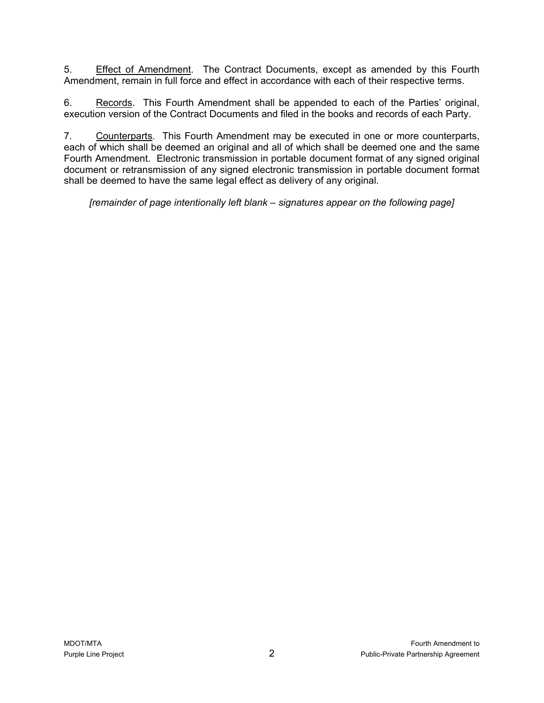5. Effect of Amendment. The Contract Documents, except as amended by this Fourth Amendment, remain in full force and effect in accordance with each of their respective terms.

6. Records. This Fourth Amendment shall be appended to each of the Parties' original, execution version of the Contract Documents and filed in the books and records of each Party.

7. Counterparts. This Fourth Amendment may be executed in one or more counterparts, each of which shall be deemed an original and all of which shall be deemed one and the same Fourth Amendment. Electronic transmission in portable document format of any signed original document or retransmission of any signed electronic transmission in portable document format shall be deemed to have the same legal effect as delivery of any original.

*[remainder of page intentionally left blank – signatures appear on the following page]*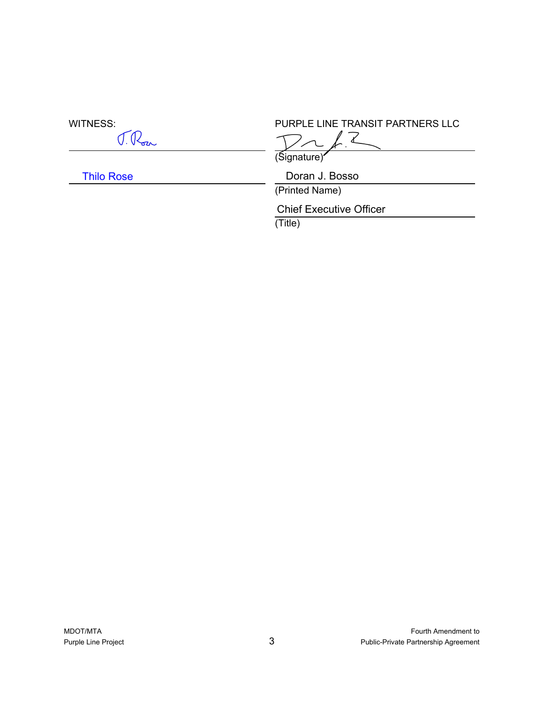$\overline{a}$ 

 $\overline{a}$ 

Thilo Rose

WITNESS:<br>
The Transit Partners LLC<br>
The LINE TRANSIT PARTNERS LLC

 $\overline{a}$ 

(Signature)

Doran J. Bosso

(Printed Name)

Chief Executive Officer

(Title)

 $\overline{a}$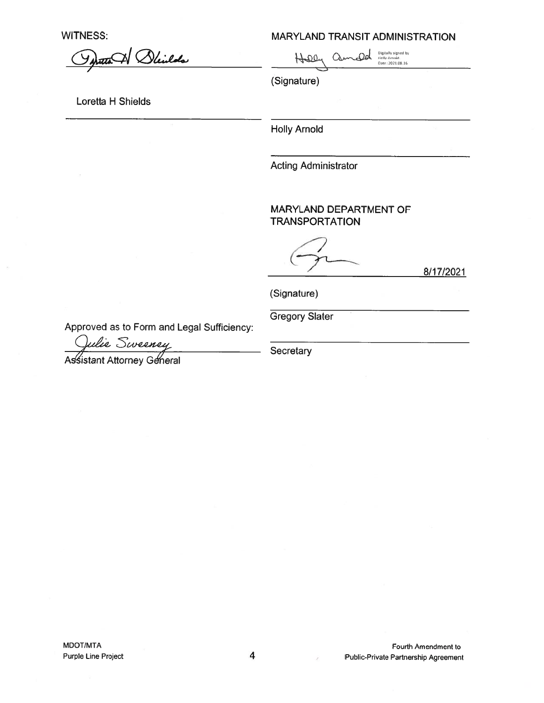**WITNESS:** 

MARYLAND TRANSIT ADMINISTRATION

Dleidds

 $\begin{picture}(120,10) \put(0,0){\line(1,0){10}} \put(15,0){\line(1,0){10}} \put(15,0){\line(1,0){10}} \put(15,0){\line(1,0){10}} \put(15,0){\line(1,0){10}} \put(15,0){\line(1,0){10}} \put(15,0){\line(1,0){10}} \put(15,0){\line(1,0){10}} \put(15,0){\line(1,0){10}} \put(15,0){\line(1,0){10}} \put(15,0){\line(1,0){10}} \put(15,0){\line($  $H^-$ 

(Signature)

Loretta H Shields

**Holly Arnold** 

**Acting Administrator** 

MARYLAND DEPARTMENT OF **TRANSPORTATION** 

8/17/2021

(Signature)

**Gregory Slater** 

Approved as to Form and Legal Sufficiency:

Ulie Sweeney

Assistant Attorney General

Secretary

MDOT/MTA Purple Line Project